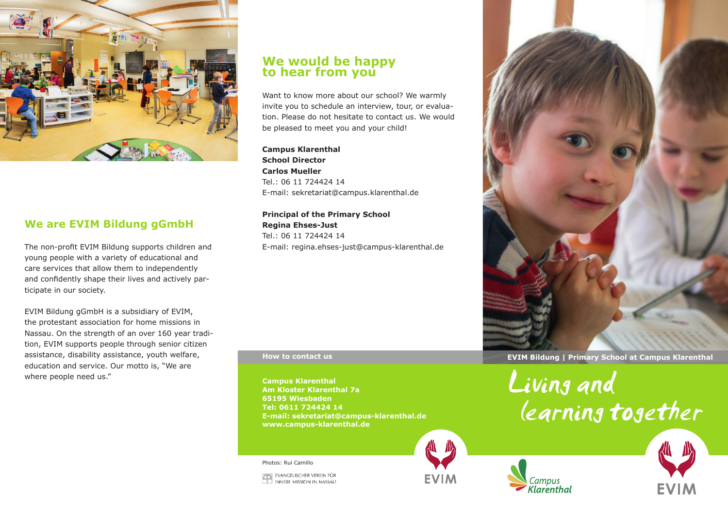

# **We are EVIM Bildung gGmbH**

The non-profit EVIM Bildung supports children and young people with a variety of educational and care services that allow them to independently and confidently shape their lives and actively participate in our society.

EVIM Bildung gGmbH is a subsidiary of EVIM, the protestant association for home missions in Nassau. On the strength of an over 160 year tradition, EVIM supports people through senior citizen assistance, disability assistance, youth welfare, education and service. Our motto is, "We are where people need us."

# **We would be happy to hear from you**

Want to know more about our school? We warmly invite you to schedule an interview, tour, or evaluation. Please do not hesitate to contact us. We would be pleased to meet you and your child!

**Campus Klarenthal School Director Carlos Mueller** Tel.: 06 11 724424 14 E-mail: sekretariat@campus.klarenthal.de

**Principal of the Primary School Regina Ehses-Just** Tel.: 06 11 724424 14 E-mail: regina.ehses-just@campus-klarenthal.de

**Campus Klarenthal Am Kloster Klarenthal 7a 65195 Wiesbaden Tel: 0611 724424 14 E-mail: sekretariat@campus-klarenthal.de www.campus-klarenthal.de**

Photos: Rui Camillo





**How to contact us EVIM Bildung | Primary School at Campus Klarenthal**

Living una learning together





**CO EVANGELISCHER VEREIN FÜR<br>ILL INNERE MISSION IN NASSAU**